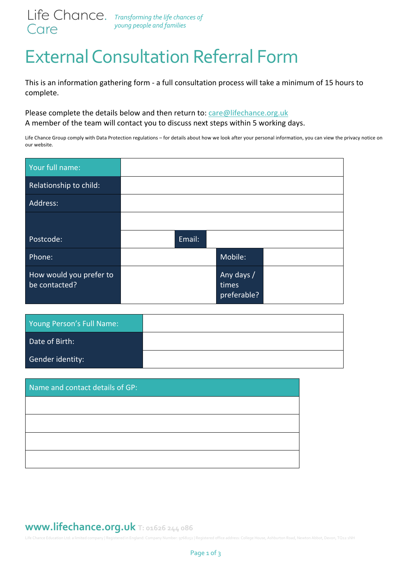

## External Consultation Referral Form

This is an information gathering form - a full consultation process will take a minimum of 15 hours to complete.

Please complete the details below and then return to: care@lifechance.org.uk A member of the team will contact you to discuss next steps within 5 working days.

Life Chance Group comply with Data Protection regulations – for details about how we look after your personal information, you can view the privacy notice on our website.

| Your full name:                          |        |                                    |  |
|------------------------------------------|--------|------------------------------------|--|
| Relationship to child:                   |        |                                    |  |
| Address:                                 |        |                                    |  |
|                                          |        |                                    |  |
| Postcode:                                | Email: |                                    |  |
| Phone:                                   |        | Mobile:                            |  |
| How would you prefer to<br>be contacted? |        | Any days /<br>times<br>preferable? |  |

| Young Person's Full Name: |  |
|---------------------------|--|
| Date of Birth:            |  |
| Gender identity:          |  |

| Name and contact details of GP: |  |  |
|---------------------------------|--|--|
|                                 |  |  |
|                                 |  |  |
|                                 |  |  |
|                                 |  |  |

## **www.lifechance.org.uk T: 01626 244 086**

Life Chance Education Ltd: a limited company | Registered in England: Company Number: 9768252 | Registered office address: College House, Ashburton Road, Newton Abbot, Devon, TQ12 1NH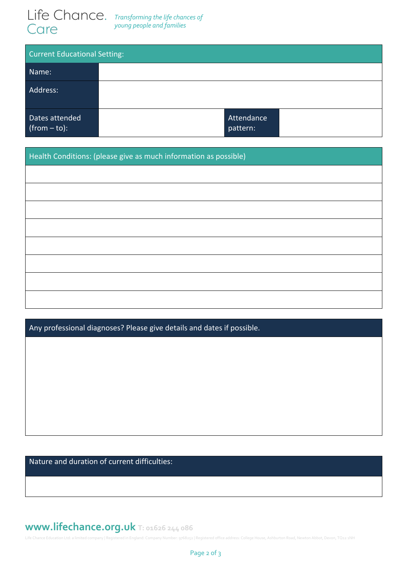

| <b>Current Educational Setting:</b> |  |                        |  |  |  |
|-------------------------------------|--|------------------------|--|--|--|
| Name:                               |  |                        |  |  |  |
| Address:                            |  |                        |  |  |  |
| Dates attended<br>$(from - to):$    |  | Attendance<br>pattern: |  |  |  |

Health Conditions: (please give as much information as possible)

Any professional diagnoses? Please give details and dates if possible.

Nature and duration of current difficulties:

## **www.lifechance.org.uk T: 01626 244 086**

Life Chance Education Ltd: a limited company | Registered in England: Company Number: 9768252 | Registered office address: College House, Ashburton Road, Newton Abbot, Devon, TQ12 1NH